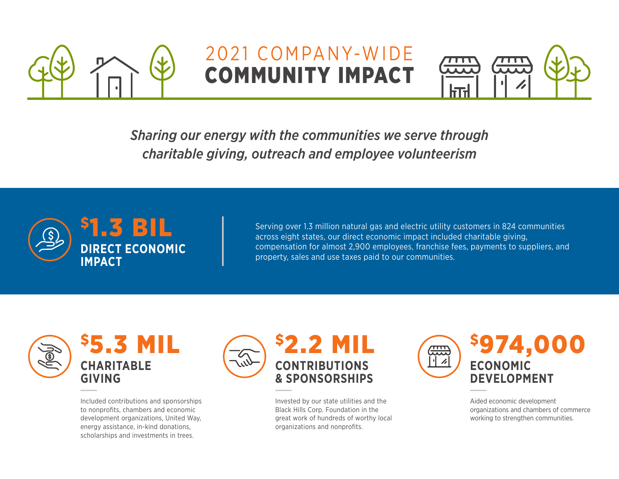

## 2021 COMPANY-WIDE COMMUNITY IMPACT



*Sharing our energy with the communities we serve through charitable giving, outreach and employee volunteerism*



Serving over 1.3 million natural gas and electric utility customers in 824 communities across eight states, our direct economic impact included charitable giving, compensation for almost 2,900 employees, franchise fees, payments to suppliers, and property, sales and use taxes paid to our communities.



Included contributions and sponsorships to nonprofits, chambers and economic development organizations, United Way, energy assistance, in-kind donations, scholarships and investments in trees.



Invested by our state utilities and the Black Hills Corp. Foundation in the great work of hundreds of worthy local organizations and nonprofits.



Aided economic development organizations and chambers of commerce working to strengthen communities.